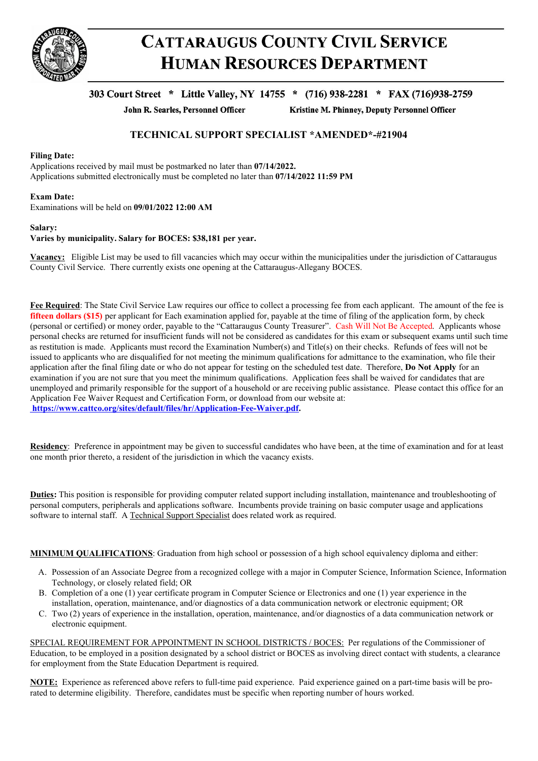

# **CATTARAUGUS COUNTY CIVIL SERVICE HUMAN RESOURCES DEPARTMENT**

## 303 Court Street \* Little Valley, NY 14755 \* (716) 938-2281 \* FAX (716)938-2759

John R. Searles, Personnel Officer

Kristine M. Phinney, Deputy Personnel Officer

### **TECHNICAL SUPPORT SPECIALIST \*AMENDED\*-#21904**

#### **Filing Date:**

Applications received by mail must be postmarked no later than **07/14/2022.** Applications submitted electronically must be completed no later than **07/14/2022 11:59 PM**

#### **Exam Date:**

Examinations will be held on **09/01/2022 12:00 AM**

#### **Salary:**

#### **Varies by municipality. Salary for BOCES: \$38,181 per year.**

**Vacancy:** Eligible List may be used to fill vacancies which may occur within the municipalities under the jurisdiction of Cattaraugus County Civil Service. There currently exists one opening at the Cattaraugus-Allegany BOCES.

**Fee Required**: The State Civil Service Law requires our office to collect a processing fee from each applicant. The amount of the fee is **fifteen dollars (\$15)** per applicant for Each examination applied for, payable at the time of filing of the application form, by check (personal or certified) or money order, payable to the "Cattaraugus County Treasurer". Cash Will Not Be Accepted. Applicants whose personal checks are returned for insufficient funds will not be considered as candidates for this exam or subsequent exams until such time as restitution is made. Applicants must record the Examination Number(s) and Title(s) on their checks. Refunds of fees will not be issued to applicants who are disqualified for not meeting the minimum qualifications for admittance to the examination, who file their application after the final filing date or who do not appear for testing on the scheduled test date. Therefore, **Do Not Apply** for an examination if you are not sure that you meet the minimum qualifications. Application fees shall be waived for candidates that are unemployed and primarily responsible for the support of a household or are receiving public assistance. Please contact this office for an Application Fee Waiver Request and Certification Form, or download from our website at: **https://www.cattco.org/sites/default/files/hr/Application-Fee-Waiver.pdf.**

**Residency**: Preference in appointment may be given to successful candidates who have been, at the time of examination and for at least one month prior thereto, a resident of the jurisdiction in which the vacancy exists.

**Duties:** This position is responsible for providing computer related support including installation, maintenance and troubleshooting of personal computers, peripherals and applications software. Incumbents provide training on basic computer usage and applications software to internal staff. A Technical Support Specialist does related work as required.

**MINIMUM QUALIFICATIONS**: Graduation from high school or possession of a high school equivalency diploma and either:

- A. Possession of an Associate Degree from a recognized college with a major in Computer Science, Information Science, Information Technology, or closely related field; OR
- B. Completion of a one (1) year certificate program in Computer Science or Electronics and one (1) year experience in the installation, operation, maintenance, and/or diagnostics of a data communication network or electronic equipment; OR
- C. Two (2) years of experience in the installation, operation, maintenance, and/or diagnostics of a data communication network or electronic equipment.

SPECIAL REQUIREMENT FOR APPOINTMENT IN SCHOOL DISTRICTS / BOCES: Per regulations of the Commissioner of Education, to be employed in a position designated by a school district or BOCES as involving direct contact with students, a clearance for employment from the State Education Department is required.

**NOTE:** Experience as referenced above refers to full-time paid experience. Paid experience gained on a part-time basis will be prorated to determine eligibility. Therefore, candidates must be specific when reporting number of hours worked.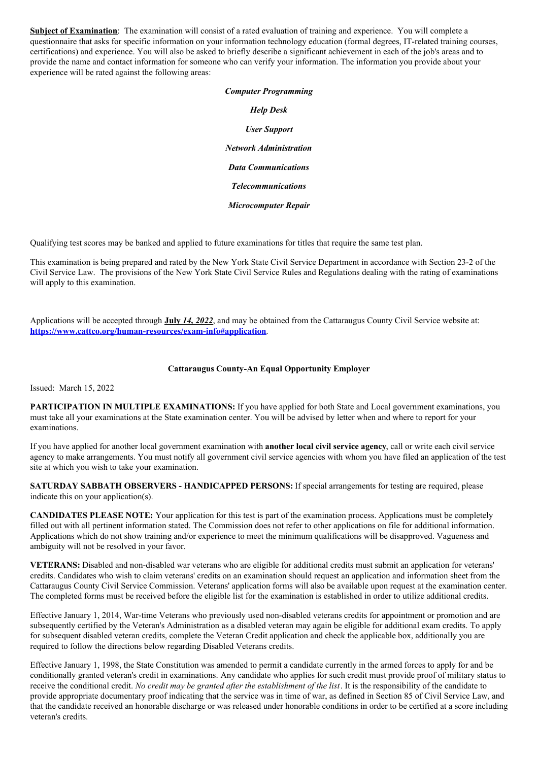**Subject of Examination**: The examination will consist of a rated evaluation of training and experience. You will complete a questionnaire that asks for specific information on your information technology education (formal degrees, IT-related training courses, certifications) and experience. You will also be asked to briefly describe a significant achievement in each of the job's areas and to provide the name and contact information for someone who can verify your information. The information you provide about your experience will be rated against the following areas:

# *Computer Programming Help Desk User Support Network Administration Data Communications Telecommunications Microcomputer Repair*

Qualifying test scores may be banked and applied to future examinations for titles that require the same test plan.

This examination is being prepared and rated by the New York State Civil Service Department in accordance with Section 23-2 of the Civil Service Law. The provisions of the New York State Civil Service Rules and Regulations dealing with the rating of examinations will apply to this examination.

Applications will be accepted through **July** *14, 2022*, and may be obtained from the Cattaraugus County Civil Service website at: **<https://www.cattco.org/human-resources/exam-info#application>**.

#### **Cattaraugus County-An Equal Opportunity Employer**

Issued: March 15, 2022

**PARTICIPATION IN MULTIPLE EXAMINATIONS:** If you have applied for both State and Local government examinations, you must take all your examinations at the State examination center. You will be advised by letter when and where to report for your examinations.

If you have applied for another local government examination with **another local civil service agency**, call or write each civil service agency to make arrangements. You must notify all government civil service agencies with whom you have filed an application of the test site at which you wish to take your examination.

**SATURDAY SABBATH OBSERVERS - HANDICAPPED PERSONS:** If special arrangements for testing are required, please indicate this on your application(s).

**CANDIDATES PLEASE NOTE:** Your application for this test is part of the examination process. Applications must be completely filled out with all pertinent information stated. The Commission does not refer to other applications on file for additional information. Applications which do not show training and/or experience to meet the minimum qualifications will be disapproved. Vagueness and ambiguity will not be resolved in your favor.

**VETERANS:** Disabled and non-disabled war veterans who are eligible for additional credits must submit an application for veterans' credits. Candidates who wish to claim veterans' credits on an examination should request an application and information sheet from the Cattaraugus County Civil Service Commission. Veterans' application forms will also be available upon request at the examination center. The completed forms must be received before the eligible list for the examination is established in order to utilize additional credits.

Effective January 1, 2014, War-time Veterans who previously used non-disabled veterans credits for appointment or promotion and are subsequently certified by the Veteran's Administration as a disabled veteran may again be eligible for additional exam credits. To apply for subsequent disabled veteran credits, complete the Veteran Credit application and check the applicable box, additionally you are required to follow the directions below regarding Disabled Veterans credits.

Effective January 1, 1998, the State Constitution was amended to permit a candidate currently in the armed forces to apply for and be conditionally granted veteran's credit in examinations. Any candidate who applies for such credit must provide proof of military status to receive the conditional credit. *No credit may be granted after the establishment of the list*. It is the responsibility of the candidate to provide appropriate documentary proof indicating that the service was in time of war, as defined in Section 85 of Civil Service Law, and that the candidate received an honorable discharge or was released under honorable conditions in order to be certified at a score including veteran's credits.